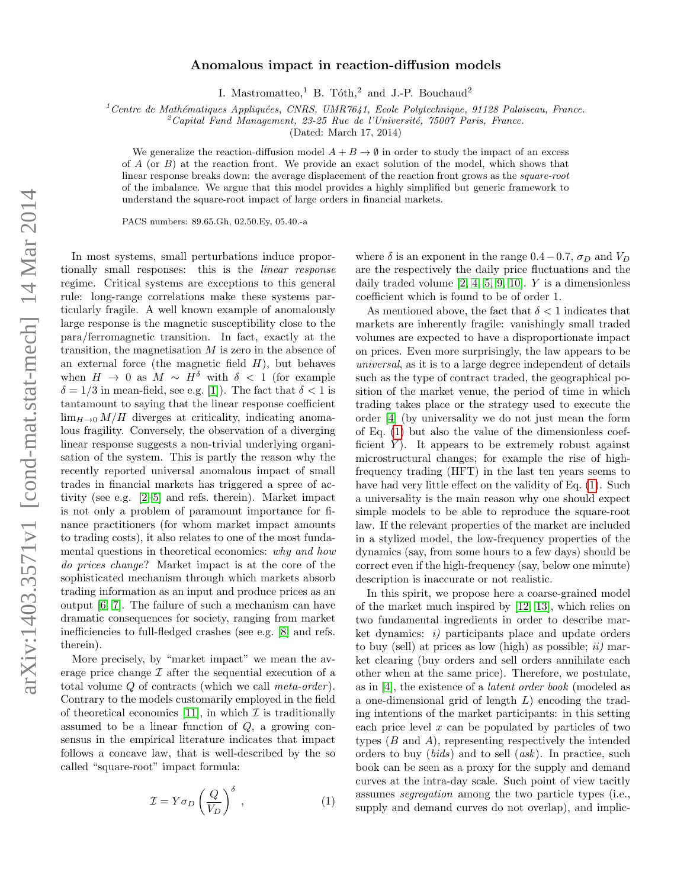## Anomalous impact in reaction-diffusion models

I. Mastromatteo,<sup>1</sup> B. Tóth,<sup>2</sup> and J.-P. Bouchaud<sup>2</sup>

<sup>1</sup>Centre de Mathématiques Appliquées, CNRS, UMR7641, Ecole Polytechnique, 91128 Palaiseau, France.

 $^{2}$ Capital Fund Management, 23-25 Rue de l'Université, 75007 Paris, France.

(Dated: March 17, 2014)

We generalize the reaction-diffusion model  $A + B \to \emptyset$  in order to study the impact of an excess of  $A$  (or  $B$ ) at the reaction front. We provide an exact solution of the model, which shows that linear response breaks down: the average displacement of the reaction front grows as the *square-root* of the imbalance. We argue that this model provides a highly simplified but generic framework to understand the square-root impact of large orders in financial markets.

PACS numbers: 89.65.Gh, 02.50.Ey, 05.40.-a

In most systems, small perturbations induce proportionally small responses: this is the linear response regime. Critical systems are exceptions to this general rule: long-range correlations make these systems particularly fragile. A well known example of anomalously large response is the magnetic susceptibility close to the para/ferromagnetic transition. In fact, exactly at the transition, the magnetisation  $M$  is zero in the absence of an external force (the magnetic field  $H$ ), but behaves when  $H \to 0$  as  $M \sim H^{\delta}$  with  $\delta < 1$  (for example  $\delta = 1/3$  in mean-field, see e.g. [\[1\]](#page-4-0)). The fact that  $\delta < 1$  is tantamount to saying that the linear response coefficient  $\lim_{H\to 0} M/H$  diverges at criticality, indicating anomalous fragility. Conversely, the observation of a diverging linear response suggests a non-trivial underlying organisation of the system. This is partly the reason why the recently reported universal anomalous impact of small trades in financial markets has triggered a spree of activity (see e.g. [\[2](#page-4-1)[–5\]](#page-4-2) and refs. therein). Market impact is not only a problem of paramount importance for finance practitioners (for whom market impact amounts to trading costs), it also relates to one of the most fundamental questions in theoretical economics: why and how do prices change? Market impact is at the core of the sophisticated mechanism through which markets absorb trading information as an input and produce prices as an output [\[6,](#page-4-3) [7\]](#page-4-4). The failure of such a mechanism can have dramatic consequences for society, ranging from market inefficiencies to full-fledged crashes (see e.g. [\[8\]](#page-4-5) and refs. therein).

More precisely, by "market impact" we mean the average price change  $\mathcal I$  after the sequential execution of a total volume Q of contracts (which we call meta-order ). Contrary to the models customarily employed in the field of theoretical economics [\[11\]](#page-4-6), in which  $\mathcal I$  is traditionally assumed to be a linear function of Q, a growing consensus in the empirical literature indicates that impact follows a concave law, that is well-described by the so called "square-root" impact formula:

<span id="page-0-0"></span>
$$
\mathcal{I} = Y \sigma_D \left(\frac{Q}{V_D}\right)^{\delta} , \qquad (1)
$$

where  $\delta$  is an exponent in the range 0.4 – 0.7,  $\sigma_D$  and  $V_D$ are the respectively the daily price fluctuations and the daily traded volume  $[2, 4, 5, 9, 10]$  $[2, 4, 5, 9, 10]$  $[2, 4, 5, 9, 10]$  $[2, 4, 5, 9, 10]$  $[2, 4, 5, 9, 10]$ . Y is a dimensionless coefficient which is found to be of order 1.

As mentioned above, the fact that  $\delta < 1$  indicates that markets are inherently fragile: vanishingly small traded volumes are expected to have a disproportionate impact on prices. Even more surprisingly, the law appears to be universal, as it is to a large degree independent of details such as the type of contract traded, the geographical position of the market venue, the period of time in which trading takes place or the strategy used to execute the order [\[4\]](#page-4-7) (by universality we do not just mean the form of Eq. [\(1\)](#page-0-0) but also the value of the dimensionless coefficient  $Y$ ). It appears to be extremely robust against microstructural changes; for example the rise of highfrequency trading (HFT) in the last ten years seems to have had very little effect on the validity of Eq.  $(1)$ . Such a universality is the main reason why one should expect simple models to be able to reproduce the square-root law. If the relevant properties of the market are included in a stylized model, the low-frequency properties of the dynamics (say, from some hours to a few days) should be correct even if the high-frequency (say, below one minute) description is inaccurate or not realistic.

In this spirit, we propose here a coarse-grained model of the market much inspired by [\[12,](#page-4-10) [13\]](#page-4-11), which relies on two fundamental ingredients in order to describe market dynamics: i) participants place and update orders to buy (sell) at prices as low (high) as possible;  $ii$ ) market clearing (buy orders and sell orders annihilate each other when at the same price). Therefore, we postulate, as in [\[4\]](#page-4-7), the existence of a latent order book (modeled as a one-dimensional grid of length L) encoding the trading intentions of the market participants: in this setting each price level  $x$  can be populated by particles of two types  $(B \text{ and } A)$ , representing respectively the intended orders to buy (bids) and to sell (ask). In practice, such book can be seen as a proxy for the supply and demand curves at the intra-day scale. Such point of view tacitly assumes segregation among the two particle types (i.e., supply and demand curves do not overlap), and implic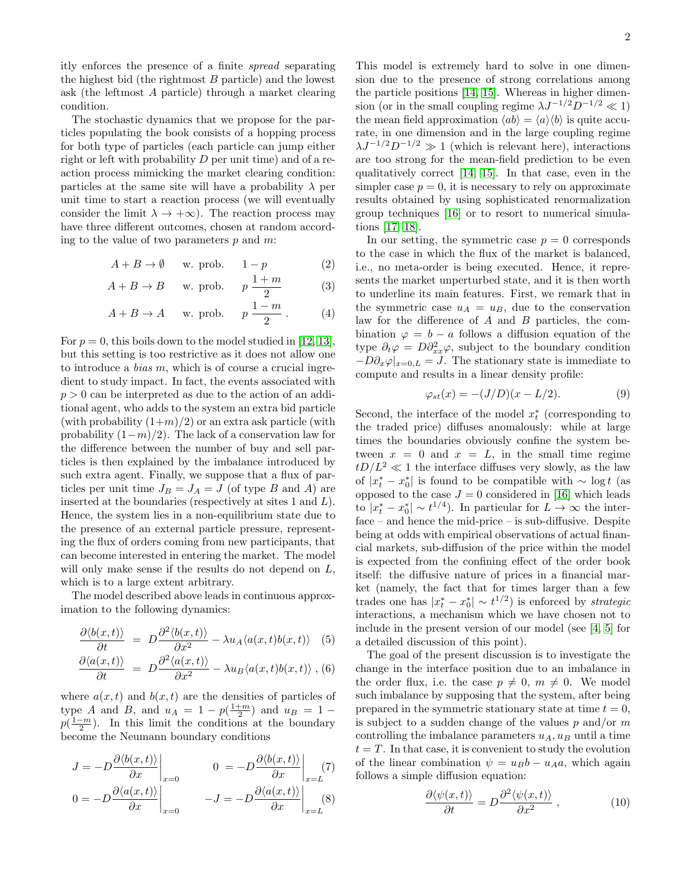itly enforces the presence of a finite spread separating the highest bid (the rightmost  $B$  particle) and the lowest ask (the leftmost A particle) through a market clearing condition.

The stochastic dynamics that we propose for the particles populating the book consists of a hopping process for both type of particles (each particle can jump either right or left with probability  $D$  per unit time) and of a reaction process mimicking the market clearing condition: particles at the same site will have a probability  $\lambda$  per unit time to start a reaction process (we will eventually consider the limit  $\lambda \to +\infty$ ). The reaction process may have three different outcomes, chosen at random according to the value of two parameters  $p$  and  $m$ :

$$
A + B \to \emptyset \quad \text{w. prob.} \quad 1 - p \tag{2}
$$

<span id="page-1-3"></span>
$$
A + B \to B \quad \text{w. prob.} \quad p \frac{1+m}{2} \tag{3}
$$

$$
A + B \to A \quad \text{w. prob.} \quad p \frac{1 - m}{2} \,. \tag{4}
$$

For  $p = 0$ , this boils down to the model studied in [\[12,](#page-4-10) [13\]](#page-4-11), but this setting is too restrictive as it does not allow one to introduce a *bias*  $m$ , which is of course a crucial ingredient to study impact. In fact, the events associated with  $p > 0$  can be interpreted as due to the action of an additional agent, who adds to the system an extra bid particle (with probability  $(1+m)/2$ ) or an extra ask particle (with probability  $(1-m)/2$ ). The lack of a conservation law for the difference between the number of buy and sell particles is then explained by the imbalance introduced by such extra agent. Finally, we suppose that a flux of particles per unit time  $J_B = J_A = J$  (of type B and A) are inserted at the boundaries (respectively at sites 1 and L). Hence, the system lies in a non-equilibrium state due to the presence of an external particle pressure, representing the flux of orders coming from new participants, that can become interested in entering the market. The model will only make sense if the results do not depend on  $L$ , which is to a large extent arbitrary.

The model described above leads in continuous approximation to the following dynamics:

$$
\frac{\partial \langle b(x,t) \rangle}{\partial t} = D \frac{\partial^2 \langle b(x,t) \rangle}{\partial x^2} - \lambda u_A \langle a(x,t) b(x,t) \rangle
$$
 (5)

<span id="page-1-2"></span>
$$
\frac{\partial \langle a(x,t) \rangle}{\partial t} \ = \ D \frac{\partial^2 \langle a(x,t) \rangle}{\partial x^2} - \lambda u_B \langle a(x,t) b(x,t) \rangle \ , \ (6)
$$

where  $a(x, t)$  and  $b(x, t)$  are the densities of particles of type A and B, and  $u_A = 1 - p(\frac{1+m}{2})$  and  $u_B = 1$  $p(\frac{1-m}{2})$ . In this limit the conditions at the boundary become the Neumann boundary conditions

$$
J = -D \frac{\partial \langle b(x, t) \rangle}{\partial x} \Big|_{x=0} \qquad 0 = -D \frac{\partial \langle b(x, t) \rangle}{\partial x} \Big|_{x=L} (7)
$$
  

$$
0 = -D \frac{\partial \langle a(x, t) \rangle}{\partial x} \Big|_{x=0} -J = -D \frac{\partial \langle a(x, t) \rangle}{\partial x} \Big|_{x=L} (8)
$$

This model is extremely hard to solve in one dimension due to the presence of strong correlations among the particle positions [\[14,](#page-4-12) [15\]](#page-4-13). Whereas in higher dimension (or in the small coupling regime  $\lambda J^{-1/2}D^{-1/2} \ll 1$ ) the mean field approximation  $\langle ab \rangle = \langle a \rangle \langle b \rangle$  is quite accurate, in one dimension and in the large coupling regime  $\lambda J^{-1/2}D^{-1/2} \gg 1$  (which is relevant here), interactions are too strong for the mean-field prediction to be even qualitatively correct [\[14,](#page-4-12) [15\]](#page-4-13). In that case, even in the simpler case  $p = 0$ , it is necessary to rely on approximate results obtained by using sophisticated renormalization group techniques [\[16\]](#page-4-14) or to resort to numerical simulations [\[17,](#page-4-15) [18\]](#page-4-16).

In our setting, the symmetric case  $p = 0$  corresponds to the case in which the flux of the market is balanced, i.e., no meta-order is being executed. Hence, it represents the market unperturbed state, and it is then worth to underline its main features. First, we remark that in the symmetric case  $u_A = u_B$ , due to the conservation law for the difference of  $A$  and  $B$  particles, the combination  $\varphi = b - a$  follows a diffusion equation of the type  $\partial_t \varphi = D \partial_{xx}^2 \varphi$ , subject to the boundary condition  $-D\partial_x\varphi|_{x=0,L} = J$ . The stationary state is immediate to compute and results in a linear density profile:

<span id="page-1-1"></span>
$$
\varphi_{st}(x) = -(J/D)(x - L/2). \tag{9}
$$

Second, the interface of the model  $x_t^*$  (corresponding to the traded price) diffuses anomalously: while at large times the boundaries obviously confine the system between  $x = 0$  and  $x = L$ , in the small time regime  $tD/L^2 \ll 1$  the interface diffuses very slowly, as the law of  $|x_t^* - x_0^*|$  is found to be compatible with  $\sim \log t$  (as opposed to the case  $J = 0$  considered in [\[16\]](#page-4-14) which leads to  $|x_t^* - x_0^*| \sim t^{1/4}$ ). In particular for  $L \to \infty$  the interface – and hence the mid-price – is sub-diffusive. Despite being at odds with empirical observations of actual financial markets, sub-diffusion of the price within the model is expected from the confining effect of the order book itself: the diffusive nature of prices in a financial market (namely, the fact that for times larger than a few trades one has  $|x_t^* - x_0^*| \sim t^{1/2}$  is enforced by *strategic* interactions, a mechanism which we have chosen not to include in the present version of our model (see [\[4,](#page-4-7) [5\]](#page-4-2) for a detailed discussion of this point).

The goal of the present discussion is to investigate the change in the interface position due to an imbalance in the order flux, i.e. the case  $p \neq 0, m \neq 0$ . We model such imbalance by supposing that the system, after being prepared in the symmetric stationary state at time  $t = 0$ , is subject to a sudden change of the values  $p$  and/or  $m$ controlling the imbalance parameters  $u_A, u_B$  until a time  $t = T$ . In that case, it is convenient to study the evolution of the linear combination  $\psi = u_B b - u_A a$ , which again follows a simple diffusion equation:

<span id="page-1-0"></span>
$$
\frac{\partial \langle \psi(x,t) \rangle}{\partial t} = D \frac{\partial^2 \langle \psi(x,t) \rangle}{\partial x^2} , \qquad (10)
$$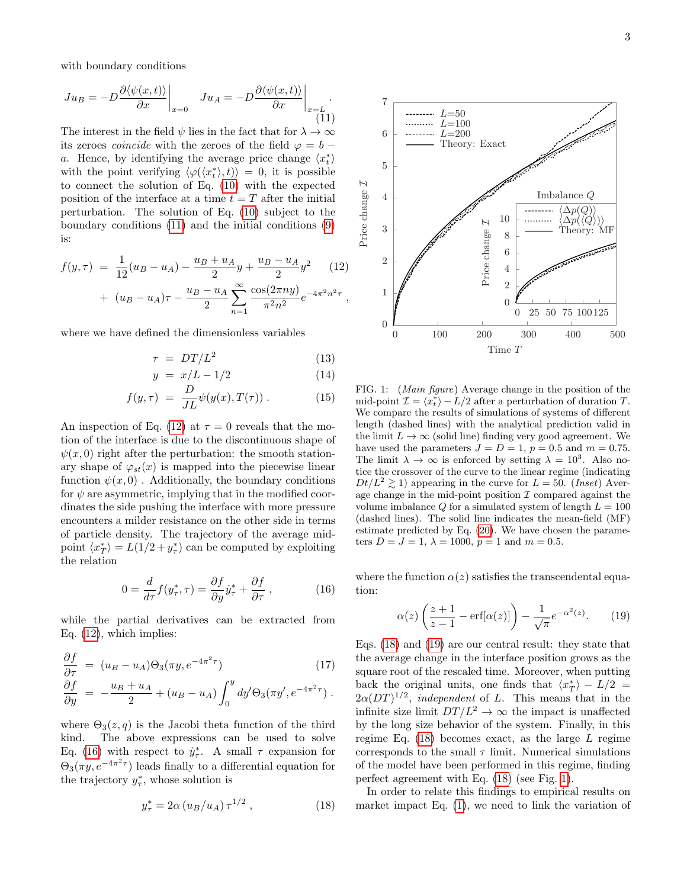with boundary conditions

<span id="page-2-0"></span>
$$
Ju_B = -D \frac{\partial \langle \psi(x, t) \rangle}{\partial x} \bigg|_{x=0} \quad Ju_A = -D \frac{\partial \langle \psi(x, t) \rangle}{\partial x} \bigg|_{x=L}.
$$
\n(11)

The interest in the field  $\psi$  lies in the fact that for  $\lambda \to \infty$ its zeroes *coincide* with the zeroes of the field  $\varphi = b$ a. Hence, by identifying the average price change  $\langle x_t^* \rangle$ with the point verifying  $\langle \varphi(\langle x_t^* \rangle, t) \rangle = 0$ , it is possible to connect the solution of Eq. [\(10\)](#page-1-0) with the expected position of the interface at a time  $t = T$  after the initial perturbation. The solution of Eq. [\(10\)](#page-1-0) subject to the boundary conditions [\(11\)](#page-2-0) and the initial conditions [\(9\)](#page-1-1) is:

<span id="page-2-1"></span>
$$
f(y,\tau) = \frac{1}{12}(u_B - u_A) - \frac{u_B + u_A}{2}y + \frac{u_B - u_A}{2}y^2
$$
 (12)  
+ 
$$
(u_B - u_A)\tau - \frac{u_B - u_A}{2} \sum_{n=1}^{\infty} \frac{\cos(2\pi n y)}{\pi^2 n^2} e^{-4\pi^2 n^2 \tau},
$$

where we have defined the dimensionless variables

$$
\tau = DT/L^2 \tag{13}
$$

$$
y = x/L - 1/2 \tag{14}
$$

$$
f(y,\tau) = \frac{D}{JL}\psi(y(x),T(\tau)).
$$
 (15)

An inspection of Eq. [\(12\)](#page-2-1) at  $\tau = 0$  reveals that the motion of the interface is due to the discontinuous shape of  $\psi(x,0)$  right after the perturbation: the smooth stationary shape of  $\varphi_{st}(x)$  is mapped into the piecewise linear function  $\psi(x,0)$ . Additionally, the boundary conditions for  $\psi$  are asymmetric, implying that in the modified coordinates the side pushing the interface with more pressure encounters a milder resistance on the other side in terms of particle density. The trajectory of the average midpoint  $\langle x_T^* \rangle = L(1/2 + y_\tau^*)$  can be computed by exploiting the relation

<span id="page-2-2"></span>
$$
0 = \frac{d}{d\tau} f(y_{\tau}^*, \tau) = \frac{\partial f}{\partial y} \dot{y}_{\tau}^* + \frac{\partial f}{\partial \tau} , \qquad (16)
$$

while the partial derivatives can be extracted from Eq. [\(12\)](#page-2-1), which implies:

<span id="page-2-6"></span>
$$
\frac{\partial f}{\partial \tau} = (u_B - u_A)\Theta_3(\pi y, e^{-4\pi^2 \tau})
$$
(17)  

$$
\frac{\partial f}{\partial y} = -\frac{u_B + u_A}{2} + (u_B - u_A) \int_0^y dy' \Theta_3(\pi y', e^{-4\pi^2 \tau}).
$$

where  $\Theta_3(z,q)$  is the Jacobi theta function of the third kind. The above expressions can be used to solve Eq. [\(16\)](#page-2-2) with respect to  $j^*_{\tau}$ . A small  $\tau$  expansion for  $\Theta_3(\pi y, e^{-4\pi^2 \tau})$  leads finally to a differential equation for the trajectory  $y^*_{\tau}$ , whose solution is

<span id="page-2-3"></span>
$$
y_{\tau}^* = 2\alpha \left( u_B / u_A \right) \tau^{1/2} , \qquad (18)
$$



<span id="page-2-5"></span>FIG. 1: (Main figure) Average change in the position of the mid-point  $\mathcal{I} = \langle x_t^* \rangle - L/2$  after a perturbation of duration  $T$ . We compare the results of simulations of systems of different length (dashed lines) with the analytical prediction valid in the limit  $L \to \infty$  (solid line) finding very good agreement. We have used the parameters  $J = D = 1$ ,  $p = 0.5$  and  $m = 0.75$ . The limit  $\lambda \to \infty$  is enforced by setting  $\lambda = 10^3$ . Also notice the crossover of the curve to the linear regime (indicating  $Dt/L^2 \gtrsim 1$ ) appearing in the curve for  $L = 50$ . (*Inset*) Average change in the mid-point position  $\mathcal I$  compared against the volume imbalance  $Q$  for a simulated system of length  $L = 100$ (dashed lines). The solid line indicates the mean-field (MF) estimate predicted by Eq. [\(20\)](#page-3-0). We have chosen the parameters  $D = J = 1, \lambda = 1000, p = 1$  and  $m = 0.5$ .

where the function  $\alpha(z)$  satisfies the transcendental equation:

<span id="page-2-4"></span>
$$
\alpha(z) \left( \frac{z+1}{z-1} - \text{erf}[\alpha(z)] \right) - \frac{1}{\sqrt{\pi}} e^{-\alpha^2(z)}.
$$
 (19)

Eqs. [\(18\)](#page-2-3) and [\(19\)](#page-2-4) are our central result: they state that the average change in the interface position grows as the square root of the rescaled time. Moreover, when putting back the original units, one finds that  $\langle x_T^* \rangle - L/2 =$  $2\alpha(DT)^{1/2}$ , independent of L. This means that in the infinite size limit  $DT/L^2 \to \infty$  the impact is unaffected by the long size behavior of the system. Finally, in this regime Eq.  $(18)$  becomes exact, as the large L regime corresponds to the small  $\tau$  limit. Numerical simulations of the model have been performed in this regime, finding perfect agreement with Eq. [\(18\)](#page-2-3) (see Fig. [1\)](#page-2-5).

In order to relate this findings to empirical results on market impact Eq. [\(1\)](#page-0-0), we need to link the variation of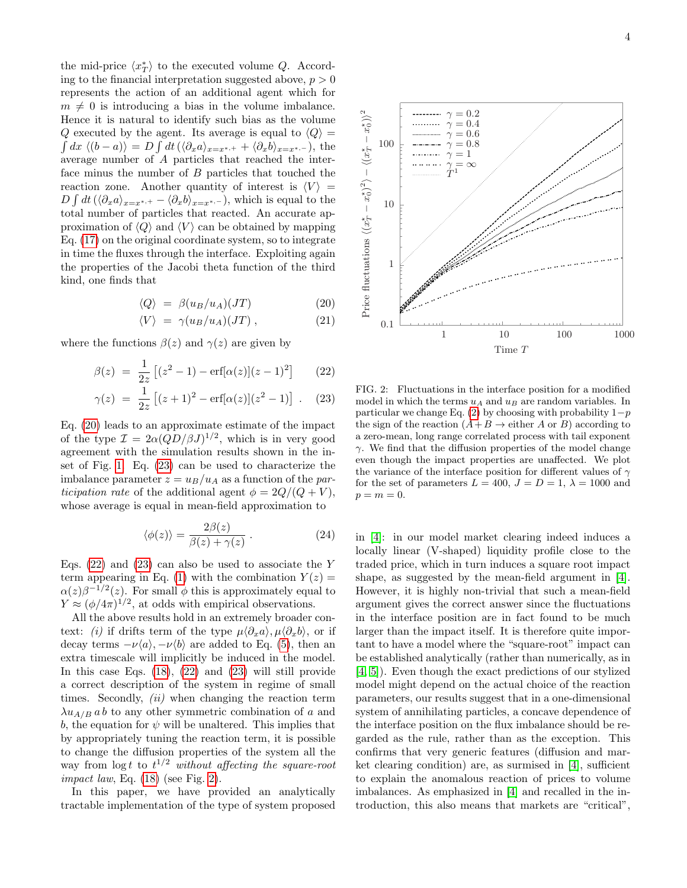the mid-price  $\langle x_T^* \rangle$  to the executed volume Q. According to the financial interpretation suggested above,  $p > 0$ represents the action of an additional agent which for  $m \neq 0$  is introducing a bias in the volume imbalance. Hence it is natural to identify such bias as the volume Q executed by the agent. Its average is equal to  $\langle Q \rangle =$  $\int dx \langle (b-a) \rangle = D \int dt \langle \langle \partial_x a \rangle_{x=x^{*,+}} + \langle \partial_x b \rangle_{x=x^{*,-}} \rangle$ , the average number of A particles that reached the interface minus the number of B particles that touched the reaction zone. Another quantity of interest is  $\langle V \rangle$  =  $D \int dt \, (\langle \partial_x a \rangle_{x=x^{*,+}} - \langle \partial_x b \rangle_{x=x^{*,-}})$ , which is equal to the total number of particles that reacted. An accurate approximation of  $\langle Q \rangle$  and  $\langle V \rangle$  can be obtained by mapping Eq. [\(17\)](#page-2-6) on the original coordinate system, so to integrate in time the fluxes through the interface. Exploiting again the properties of the Jacobi theta function of the third kind, one finds that

$$
\langle Q \rangle = \beta (u_B/u_A)(JT) \tag{20}
$$

<span id="page-3-0"></span>
$$
\langle V \rangle = \gamma (u_B/u_A)(JT) , \qquad (21)
$$

where the functions  $\beta(z)$  and  $\gamma(z)$  are given by

$$
\beta(z) = \frac{1}{2z} \left[ (z^2 - 1) - \text{erf}[\alpha(z)](z - 1)^2 \right] \tag{22}
$$

<span id="page-3-1"></span>
$$
\gamma(z) = \frac{1}{2z} \left[ (z+1)^2 - \text{erf}[\alpha(z)](z^2 - 1) \right] . \quad (23)
$$

Eq. [\(20\)](#page-3-0) leads to an approximate estimate of the impact of the type  $\mathcal{I} = 2\alpha (QD/\beta J)^{1/2}$ , which is in very good agreement with the simulation results shown in the inset of Fig. [1.](#page-2-5) Eq. [\(23\)](#page-3-1) can be used to characterize the imbalance parameter  $z = u_B/u_A$  as a function of the participation rate of the additional agent  $\phi = 2Q/(Q + V)$ , whose average is equal in mean-field approximation to

$$
\langle \phi(z) \rangle = \frac{2\beta(z)}{\beta(z) + \gamma(z)} . \tag{24}
$$

Eqs. [\(22\)](#page-3-1) and [\(23\)](#page-3-1) can also be used to associate the Y term appearing in Eq. [\(1\)](#page-0-0) with the combination  $Y(z) =$  $\alpha(z)\beta^{-1/2}(z)$ . For small  $\phi$  this is approximately equal to  $Y \approx (\phi/4\pi)^{1/2}$ , at odds with empirical observations.

All the above results hold in an extremely broader context: (i) if drifts term of the type  $\mu \langle \partial_x a \rangle$ ,  $\mu \langle \partial_x b \rangle$ , or if decay terms  $-\nu\langle a \rangle$ ,  $-\nu\langle b \rangle$  are added to Eq. [\(5\)](#page-1-2), then an extra timescale will implicitly be induced in the model. In this case Eqs. [\(18\)](#page-2-3), [\(22\)](#page-3-1) and [\(23\)](#page-3-1) will still provide a correct description of the system in regime of small times. Secondly,  $(ii)$  when changing the reaction term  $\lambda u_{A/B} a b$  to any other symmetric combination of a and b, the equation for  $\psi$  will be unaltered. This implies that by appropriately tuning the reaction term, it is possible to change the diffusion properties of the system all the way from  $\log t$  to  $t^{1/2}$  without affecting the square-root impact law, Eq.  $(18)$  (see Fig. [2\)](#page-3-2).

In this paper, we have provided an analytically tractable implementation of the type of system proposed



<span id="page-3-2"></span>FIG. 2: Fluctuations in the interface position for a modified model in which the terms  $u_A$  and  $u_B$  are random variables. In particular we change Eq. [\(2\)](#page-1-3) by choosing with probability  $1-p$ the sign of the reaction  $(A+B \to \text{either } A \text{ or } B)$  according to a zero-mean, long range correlated process with tail exponent  $\gamma$ . We find that the diffusion properties of the model change even though the impact properties are unaffected. We plot the variance of the interface position for different values of  $\gamma$ for the set of parameters  $L = 400$ ,  $J = D = 1$ ,  $\lambda = 1000$  and  $p = m = 0.$ 

in [\[4\]](#page-4-7): in our model market clearing indeed induces a locally linear (V-shaped) liquidity profile close to the traded price, which in turn induces a square root impact shape, as suggested by the mean-field argument in [\[4\]](#page-4-7). However, it is highly non-trivial that such a mean-field argument gives the correct answer since the fluctuations in the interface position are in fact found to be much larger than the impact itself. It is therefore quite important to have a model where the "square-root" impact can be established analytically (rather than numerically, as in [\[4,](#page-4-7) [5\]](#page-4-2)). Even though the exact predictions of our stylized model might depend on the actual choice of the reaction parameters, our results suggest that in a one-dimensional system of annihilating particles, a concave dependence of the interface position on the flux imbalance should be regarded as the rule, rather than as the exception. This confirms that very generic features (diffusion and market clearing condition) are, as surmised in [\[4\]](#page-4-7), sufficient to explain the anomalous reaction of prices to volume imbalances. As emphasized in [\[4\]](#page-4-7) and recalled in the introduction, this also means that markets are "critical",